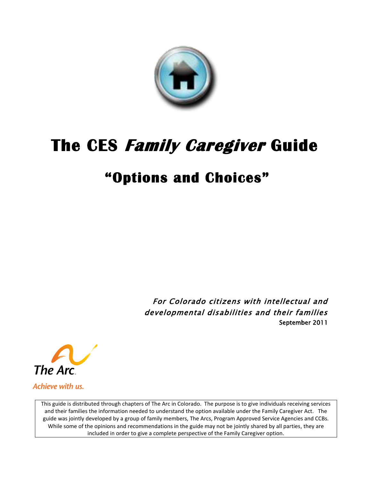

# **The CES Family Caregiver Guide**

# **"Options and Choices"**

For Colorado citizens with intellectual and developmental disabilities and their families September 2011



Achieve with us.

This guide is distributed through chapters of The Arc in Colorado. The purpose is to give individuals receiving services and their families the information needed to understand the option available under the Family Caregiver Act. The guide was jointly developed by a group of family members, The Arcs, Program Approved Service Agencies and CCBs. While some of the opinions and recommendations in the guide may not be jointly shared by all parties, they are included in order to give a complete perspective of the Family Caregiver option.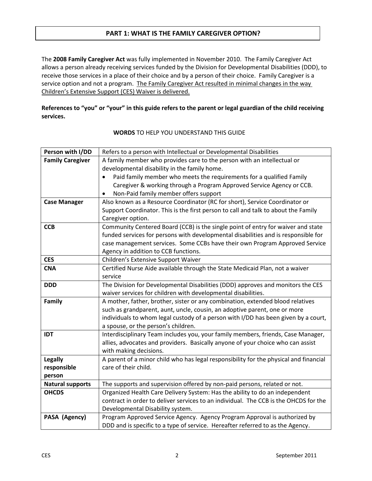# **PART 1: WHAT IS THE FAMILY CAREGIVER OPTION?**

The **2008 Family Caregiver Act** was fully implemented in November 2010. The Family Caregiver Act allows a person already receiving services funded by the Division for Developmental Disabilities (DDD), to receive those services in a place of their choice and by a person of their choice. Family Caregiver is a service option and not a program. The Family Caregiver Act resulted in minimal changes in the way Children's Extensive Support (CES) Waiver is delivered.

# **References to "you" or "your" in this guide refers to the parent or legal guardian of the child receiving services.**

| Person with I/DD        | Refers to a person with Intellectual or Developmental Disabilities                                        |  |  |
|-------------------------|-----------------------------------------------------------------------------------------------------------|--|--|
| <b>Family Caregiver</b> | A family member who provides care to the person with an intellectual or                                   |  |  |
|                         | developmental disability in the family home.                                                              |  |  |
|                         | Paid family member who meets the requirements for a qualified Family<br>$\bullet$                         |  |  |
|                         | Caregiver & working through a Program Approved Service Agency or CCB.                                     |  |  |
|                         | Non-Paid family member offers support<br>$\bullet$                                                        |  |  |
| <b>Case Manager</b>     | Also known as a Resource Coordinator (RC for short), Service Coordinator or                               |  |  |
|                         | Support Coordinator. This is the first person to call and talk to about the Family                        |  |  |
|                         | Caregiver option.                                                                                         |  |  |
| <b>CCB</b>              | Community Centered Board (CCB) is the single point of entry for waiver and state                          |  |  |
|                         | funded services for persons with developmental disabilities and is responsible for                        |  |  |
|                         | case management services. Some CCBs have their own Program Approved Service                               |  |  |
|                         | Agency in addition to CCB functions.                                                                      |  |  |
| <b>CES</b>              | Children's Extensive Support Waiver                                                                       |  |  |
| <b>CNA</b>              | Certified Nurse Aide available through the State Medicaid Plan, not a waiver                              |  |  |
|                         | service                                                                                                   |  |  |
| <b>DDD</b>              | The Division for Developmental Disabilities (DDD) approves and monitors the CES                           |  |  |
|                         | waiver services for children with developmental disabilities.                                             |  |  |
| Family                  | A mother, father, brother, sister or any combination, extended blood relatives                            |  |  |
|                         | such as grandparent, aunt, uncle, cousin, an adoptive parent, one or more                                 |  |  |
|                         | individuals to whom legal custody of a person with I/DD has been given by a court,                        |  |  |
| <b>IDT</b>              | a spouse, or the person's children.                                                                       |  |  |
|                         | Interdisciplinary Team includes you, your family members, friends, Case Manager,                          |  |  |
|                         | allies, advocates and providers. Basically anyone of your choice who can assist<br>with making decisions. |  |  |
| <b>Legally</b>          | A parent of a minor child who has legal responsibility for the physical and financial                     |  |  |
| responsible             | care of their child.                                                                                      |  |  |
| person                  |                                                                                                           |  |  |
| <b>Natural supports</b> | The supports and supervision offered by non-paid persons, related or not.                                 |  |  |
| <b>OHCDS</b>            | Organized Health Care Delivery System: Has the ability to do an independent                               |  |  |
|                         | contract in order to deliver services to an individual. The CCB is the OHCDS for the                      |  |  |
|                         | Developmental Disability system.                                                                          |  |  |
| PASA (Agency)           | Program Approved Service Agency. Agency Program Approval is authorized by                                 |  |  |
|                         | DDD and is specific to a type of service. Hereafter referred to as the Agency.                            |  |  |

#### **WORDS** TO HELP YOU UNDERSTAND THIS GUIDE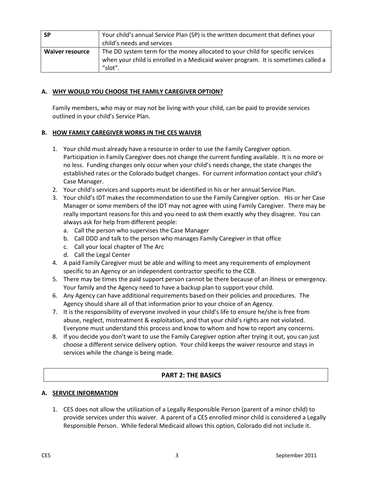| . SP                   | Your child's annual Service Plan (SP) is the written document that defines your                                                                                                 |
|------------------------|---------------------------------------------------------------------------------------------------------------------------------------------------------------------------------|
|                        | child's needs and services                                                                                                                                                      |
| <b>Waiver resource</b> | The DD system term for the money allocated to your child for specific services<br>when your child is enrolled in a Medicaid waiver program. It is sometimes called a<br>"slot". |

# **A. WHY WOULD YOU CHOOSE THE FAMILY CAREGIVER OPTION?**

Family members, who may or may not be living with your child, can be paid to provide services outlined in your child's Service Plan.

### **B. HOW FAMILY CAREGIVER WORKS IN THE CES WAIVER**

- 1. Your child must already have a resource in order to use the Family Caregiver option. Participation in Family Caregiver does not change the current funding available. It is no more or no less. Funding changes only occur when your child's needs change, the state changes the established rates or the Colorado budget changes. For current information contact your child's Case Manager.
- 2. Your child's services and supports must be identified in his or her annual Service Plan.
- 3. Your child's IDT makes the recommendation to use the Family Caregiver option. His or her Case Manager or some members of the IDT may not agree with using Family Caregiver. There may be really important reasons for this and you need to ask them exactly why they disagree. You can always ask for help from different people:
	- a. Call the person who supervises the Case Manager
	- b. Call DDD and talk to the person who manages Family Caregiver in that office
	- c. Call your local chapter of The Arc
	- d. Call the Legal Center
- 4. A paid Family Caregiver must be able and willing to meet any requirements of employment specific to an Agency or an independent contractor specific to the CCB.
- 5. There may be times the paid support person cannot be there because of an illness or emergency. Your family and the Agency need to have a backup plan to support your child.
- 6. Any Agency can have additional requirements based on their policies and procedures. The Agency should share all of that information prior to your choice of an Agency.
- 7. It is the responsibility of everyone involved in your child's life to ensure he/she is free from abuse, neglect, mistreatment & exploitation, and that your child's rights are not violated. Everyone must understand this process and know to whom and how to report any concerns.
- 8. If you decide you don't want to use the Family Caregiver option after trying it out, you can just choose a different service delivery option. Your child keeps the waiver resource and stays in services while the change is being made.

#### j **PART 2: THE BASICS**

#### **A. SERVICE INFORMATION**

1. CES does not allow the utilization of a Legally Responsible Person (parent of a minor child) to provide services under this waiver. A parent of a CES enrolled minor child is considered a Legally Responsible Person. While federal Medicaid allows this option, Colorado did not include it.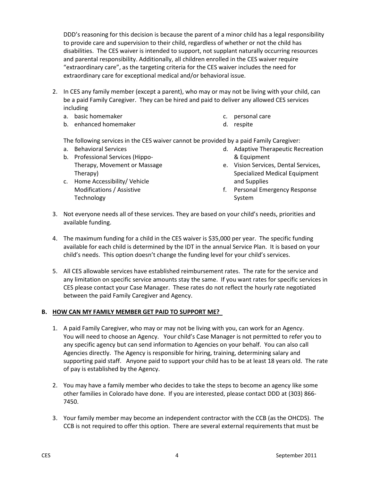DDD's reasoning for this decision is because the parent of a minor child has a legal responsibility to provide care and supervision to their child, regardless of whether or not the child has disabilities. The CES waiver is intended to support, not supplant naturally occurring resources and parental responsibility. Additionally, all children enrolled in the CES waiver require "extraordinary care", as the targeting criteria for the CES waiver includes the need for extraordinary care for exceptional medical and/or behavioral issue.

- 2. In CES any family member (except a parent), who may or may not be living with your child, can be a paid Family Caregiver. They can be hired and paid to deliver any allowed CES services including
	- a. basic homemaker
	- b. enhanced homemaker
- c. personal care
- d. respite

The following services in the CES waiver cannot be provided by a paid Family Caregiver:

- a. Behavioral Services
- b. Professional Services (Hippo-Therapy, Movement or Massage Therapy)
- c. Home Accessibility/ Vehicle Modifications / Assistive **Technology**
- d. Adaptive Therapeutic Recreation & Equipment
- e. Vision Services, Dental Services, Specialized Medical Equipment and Supplies
- f. Personal Emergency Response System
- 3. Not everyone needs all of these services. They are based on your child's needs, priorities and available funding.
- 4. The maximum funding for a child in the CES waiver is \$35,000 per year. The specific funding available for each child is determined by the IDT in the annual Service Plan. It is based on your child's needs. This option doesn't change the funding level for your child's services.
- 5. All CES allowable services have established reimbursement rates. The rate for the service and any limitation on specific service amounts stay the same. If you want rates for specific services in CES please contact your Case Manager. These rates do not reflect the hourly rate negotiated between the paid Family Caregiver and Agency.

# **B. HOW CAN MY FAMILY MEMBER GET PAID TO SUPPORT ME?**

- 1. A paid Family Caregiver, who may or may not be living with you, can work for an Agency. You will need to choose an Agency. Your child's Case Manager is not permitted to refer you to any specific agency but can send information to Agencies on your behalf.You can also call Agencies directly. The Agency is responsible for hiring, training, determining salary and supporting paid staff. Anyone paid to support your child has to be at least 18 years old. The rate of pay is established by the Agency.
- 2. You may have a family member who decides to take the steps to become an agency like some other families in Colorado have done. If you are interested, please contact DDD at (303) 866- 7450.
- 3. Your family member may become an independent contractor with the CCB (as the OHCDS). The CCB is not required to offer this option. There are several external requirements that must be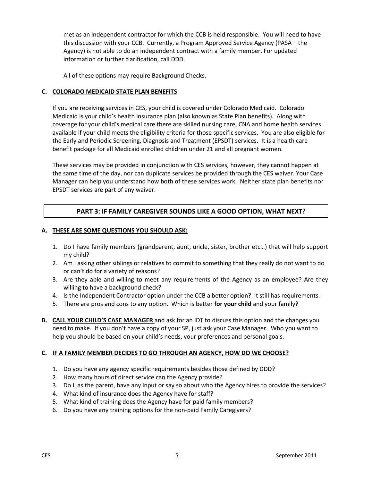met as an independent contractor for which the CCB is held responsible. You will need to have this discussion with your CCB. Currently, a Program Approved Service Agency (PASA – the Agency) is not able to do an independent contract with a family member. For updated information or further clarification, call DDD.

All of these options may require Background Checks.

# **C. COLORADO MEDICAID STATE PLAN BENEFITS**

If you are receiving services in CES, your child is covered under Colorado Medicaid. Colorado Medicaid is your child's health insurance plan (also known as State Plan benefits). Along with coverage for your child's medical care there are skilled nursing care, CNA and home health services available if your child meets the eligibility criteria for those specific services. You are also eligible for the Early and Periodic Screening, Diagnosis and Treatment (EPSDT) services. It is a health care benefit package for all Medicaid enrolled children under 21 and all pregnant women.

These services may be provided in conjunction with CES services, however, they cannot happen at the same time of the day, nor can duplicate services be provided through the CES waiver. Your Case Manager can help you understand how both of these services work. Neither state plan benefits nor EPSDT services are part of any waiver.

# **PART 3: IF FAMILY CAREGIVER SOUNDS LIKE A GOOD OPTION, WHAT NEXT?**

#### **A. THESE ARE SOME QUESTIONS YOU SHOULD ASK:**

- 1. Do I have family members (grandparent, aunt, uncle, sister, brother etc…) that will help support my child?
- 2. Am I asking other siblings or relatives to commit to something that they really do not want to do or can't do for a variety of reasons?
- 3. Are they able and willing to meet any requirements of the Agency as an employee? Are they willing to have a background check?
- 4. Is the Independent Contractor option under the CCB a better option? It still has requirements.
- 5. There are pros and cons to any option. Which is better **for your child** and your family?
- **B. CALL YOUR CHILD'S CASE MANAGER** and ask for an IDT to discuss this option and the changes you need to make. If you don't have a copy of your SP, just ask your Case Manager. Who you want to help you should be based on your child's needs, your preferences and personal goals.

#### **C. IF A FAMILY MEMBER DECIDES TO GO THROUGH AN AGENCY, HOW DO WE CHOOSE?**

- 1. Do you have any agency specific requirements besides those defined by DDD?
- 2. How many hours of direct service can the Agency provide?
- 3. Do I, as the parent, have any input or say so about who the Agency hires to provide the services?
- 4. What kind of insurance does the Agency have for staff?
- 5. What kind of training does the Agency have for paid family members?
- 6. Do you have any training options for the non-paid Family Caregivers?